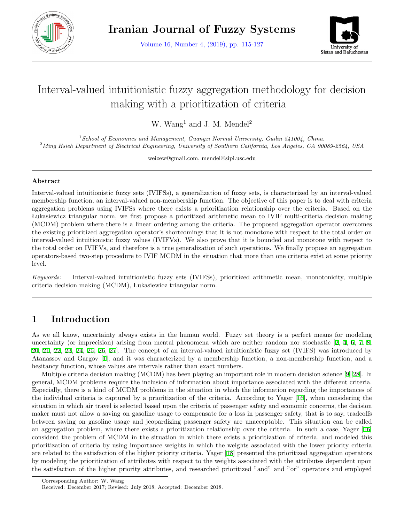

Volume 16, Number 4, (2019), pp. 115-127



# Interval-valued intuitionistic fuzzy aggregation methodology for decision making with a prioritization of criteria

W. Wang<sup>1</sup> and J. M. Mendel<sup>2</sup>

<sup>1</sup>*School of Economics and Management, Guangxi Normal University, Guilin 541004, China.* <sup>2</sup>*Ming Hsieh Department of Electrical Engineering, University of Southern California, Los Angeles, CA 90089-2564, USA*

weizew@gmail.com, mendel@sipi.usc.edu

#### **Abstract**

Interval-valued intuitionistic fuzzy sets (IVIFSs), a generalization of fuzzy sets, is characterized by an interval-valued membership function, an interval-valued non-membership function. The objective of this paper is to deal with criteria aggregation problems using IVIFSs where there exists a prioritization relationship over the criteria. Based on the Lukasiewicz triangular norm, we first propose a prioritized arithmetic mean to IVIF multi-criteria decision making (MCDM) problem where there is a linear ordering among the criteria. The proposed aggregation operator overcomes the existing prioritized aggregation operator's shortcomings that it is not monotone with respect to the total order on interval-valued intuitionistic fuzzy values (IVIFVs). We also prove that it is bounded and monotone with respect to the total order on IVIFVs, and therefore is a true generalization of such operations. We finally propose an aggregation operators-based two-step procedure to IVIF MCDM in the situation that more than one criteria exist at some priority level.

*Keywords:* Interval-valued intuitionistic fuzzy sets (IVIFSs), prioritized arithmetic mean, monotonicity, multiple criteria decision making (MCDM), Lukasiewicz triangular norm.

### **1 Introduction**

As we all know, uncertainty always exists in the human world. Fuzzy set theory is a perfect means for modeling uncertainty (or imprecision) arising from mental phenomena which are neither random nor stochastic [[2](#page-11-0), [4](#page-11-1), [6](#page-11-2), [7](#page-12-0), [8](#page-12-1), [20](#page-12-2), [21,](#page-12-3) [22,](#page-12-4) [23,](#page-12-5) [24,](#page-12-6) [25](#page-12-7), [26](#page-12-8), [27](#page-12-9)]. The concept of an interval-valued intuitionistic fuzzy set (IVIFS) was introduced by Atanassov and Gargov [\[1](#page-11-3)], and it was characterized by a membership function, a non-membership function, and a hesitancy function, whose values are intervals rather than exact numbers.

Multiple criteria decision making (MCDM) has been playing an important role in modern decision science [[9](#page-12-10)][[28\]](#page-12-11). In general, MCDM problems require the inclusion of information about importance associated with the different criteria. Especially, there is a kind of MCDM problems in the situation in which the information regarding the importances of the individual criteria is captured by a prioritization of the criteria. According to Yager [\[16](#page-12-12)], when considering the situation in which air travel is selected based upon the criteria of passenger safety and economic concerns, the decision maker must not allow a saving on gasoline usage to compensate for a loss in passenger safety, that is to say, tradeoffs between saving on gasoline usage and jeopardizing passenger safety are unacceptable. This situation can be called an aggregation problem, where there exists a prioritization relationship over the criteria. In such a case, Yager [[16](#page-12-12)] considerd the problem of MCDM in the situation in which there exists a prioritization of criteria, and modeled this prioritization of criteria by using importance weights in which the weights associated with the lower priority criteria are related to the satisfaction of the higher priority criteria. Yager [[18](#page-12-13)] presented the prioritized aggregation operators by modeling the prioritization of attributes with respect to the weights associated with the attributes dependent upon the satisfaction of the higher priority attributes, and researched prioritized "and" and "or" operators and employed

Corresponding Author: W. Wang

Received: December 2017; Revised: July 2018; Accepted: December 2018.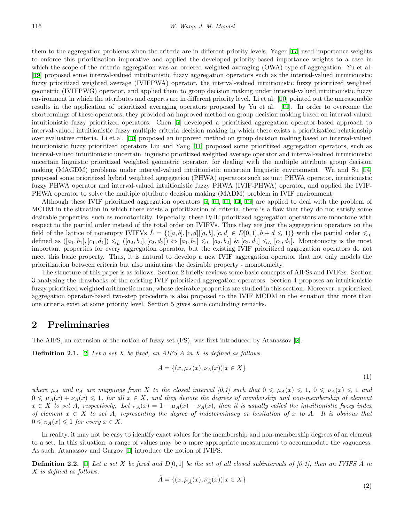them to the aggregation problems when the criteria are in different priority levels. Yager [[17\]](#page-12-14) used importance weights to enforce this prioritization imperative and applied the developed priority-based importance weights to a case in which the scope of the criteria aggregation was an ordered weighted averaging (OWA) type of aggregation. Yu et al. [[19\]](#page-12-15) proposed some interval-valued intuitionistic fuzzy aggregation operators such as the interval-valued intuitionistic fuzzy prioritized weighted average (IVIFPWA) operator, the interval-valued intuitionistic fuzzy prioritized weighted geometric (IVIFPWG) operator, and applied them to group decision making under interval-valued intuitionistic fuzzy environment in which the attributes and experts are in different priority level. Li et al. [[10\]](#page-12-16) pointed out the unreasonable results in the application of prioritized averaging operators proposed by Yu et al. [\[19](#page-12-15)]. In order to overcome the shortcomings of these operators, they provided an improved method on group decision making based on interval-valued intuitionistic fuzzy prioritized operators. Chen [[5](#page-11-4)] developed a prioritized aggregation operator-based approach to interval-valued intuitionistic fuzzy multiple criteria decision making in which there exists a prioritization relationship over evaluative criteria. Li et al. [[10\]](#page-12-16) proposed an improved method on group decision making based on interval-valued intuitionistic fuzzy prioritized operators Liu and Yang [[11](#page-12-17)] proposed some prioritized aggregation operators, such as interval-valued intuitionistic uncertain linguistic prioritized weighted average operator and interval-valued intuitionistic uncertain linguistic prioritized weighted geometric operator, for dealing with the multiple attribute group decision making (MAGDM) problems under interval-valued intuitionistic uncertain linguistic environment. Wu and Su [[14](#page-12-18)] proposed some prioritized hybrid weighted aggregation (PHWA) operators such as unit PHWA operator, intuitionistic fuzzy PHWA operator and interval-valued intuitionistic fuzzy PHWA (IVIF-PHWA) operator, and applied the IVIF-PHWA operator to solve the multiple attribute decision making (MADM) problem in IVIF environment.

Although these IVIF prioritized aggregation operators [[5,](#page-11-4) [10](#page-12-16), [11](#page-12-17), [14,](#page-12-18) [19](#page-12-15)] are applied to deal with the problem of MCDM in the situation in which there exists a prioritization of criteria, there is a flaw that they do not satisfy some desirable properties, such as monotonicity. Especially, these IVIF prioritized aggregation operators are monotone with respect to the partial order instead of the total order on IVIFVs. Thus they are just the aggregation operators on the field of the lattice of nonempty IVIFVs  $L = \{([a, b], [c, d] | [a, b], [c, d] \in D[0, 1], b + d \leq 1)\}\$  with the partial order  $\leq \tilde{L}$ defined as  $([a_1, b_1], [c_1, d_1]) \leq \tilde{L} ([a_2, b_2], [c_2, d_2]) \Leftrightarrow [a_1, b_1] \leq L [a_2, b_2] \& [c_2, d_2] \leq L [c_1, d_1].$  Monotonicity is the most important properties for every aggregation operator, but the existing IVIF prioritized aggregation operators do not meet this basic property. Thus, it is natural to develop a new IVIF aggregation operator that not only models the prioritization between criteria but also maintains the desirable property - monotonicity.

The structure of this paper is as follows. Section 2 briefly reviews some basic concepts of AIFSs and IVIFSs. Section 3 analyzing the drawbacks of the existing IVIF prioritized aggregation operators. Section 4 proposes an intuitionistic fuzzy prioritized weighted arithmetic mean, whose desirable properties are studied in this section. Moreover, a prioritized aggregation operator-based two-step procedure is also proposed to the IVIF MCDM in the situation that more than one criteria exist at some priority level. Section 5 gives some concluding remarks.

### **2 Preliminaries**

The AIFS, an extension of the notion of fuzzy set (FS), was first introduced by Atanassov [[2\]](#page-11-0).

**Definition 2.1.** [\[2](#page-11-0)] *Let a set X be fixed, an AIFS A in X is defined as follows.*

$$
A = \{(x, \mu_A(x), \nu_A(x)) | x \in X\}
$$

(1)

where  $\mu_A$  and  $\nu_A$  are mappings from X to the closed interval [0,1] such that  $0 \le \mu_A(x) \le 1$ ,  $0 \le \nu_A(x) \le 1$  and  $0 \leq \mu_A(x) + \nu_A(x) \leq 1$ , for all  $x \in X$ , and they denote the degrees of membership and non-membership of element  $x \in X$  to set A, respectively. Let  $\pi_A(x) = 1 - \mu_A(x) - \nu_A(x)$ , then it is usually called the intuitionistic fuzzy index *of element x ∈ X to set A, representing the degree of indeterminacy or hesitation of x to A. It is obvious that*  $0 \leq \pi_A(x) \leq 1$  *for every*  $x \in X$ *.* 

In reality, it may not be easy to identify exact values for the membership and non-membership degrees of an element to a set. In this situation, a range of values may be a more appropriate measurement to accommodate the vagueness. As such, Atanassov and Gargov [[1\]](#page-11-3) introduce the notion of IVIFS.

**Definition 2.2.** [[1\]](#page-11-3) Let a set  $X$  be fixed and  $D[0,1]$  be the set of all closed subintervals of  $[0,1]$ , then an IVIFS  $\hat{A}$  in *X is defined as follows.*

$$
\tilde{A} = \{(x, \bar{\mu}_{\tilde{A}}(x), \bar{\nu}_{\tilde{A}}(x)) | x \in X\}
$$
\n
$$
(2)
$$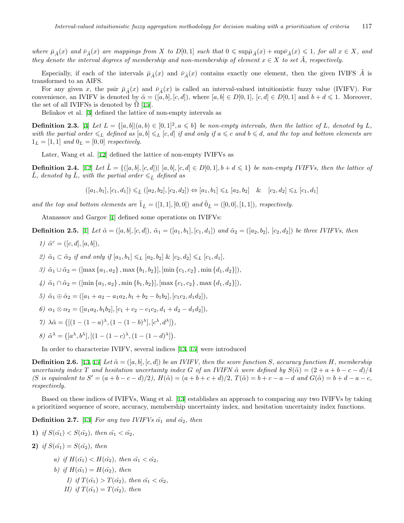where  $\bar{\mu}_{\tilde{A}}(x)$  and  $\bar{\nu}_{\tilde{A}}(x)$  are mappings from X to  $D[0,1]$  such that  $0 \leq \sup \bar{\mu}_{\tilde{A}}(x) + \sup \bar{\nu}_{\tilde{A}}(x) \leq 1$ , for all  $x \in X$ , and *they denote the interval degrees of membership and non-membership of element*  $x \in X$  *to set*  $\tilde{A}$ *, respectively.* 

Especially, if each of the intervals  $\bar{\mu}_{\tilde{A}}(x)$  and  $\bar{\nu}_{\tilde{A}}(x)$  contains exactly one element, then the given IVIFS  $\tilde{A}$  is transformed to an AIFS.

For any given *x*, the pair  $\bar{\mu}_{\tilde{A}}(x)$  and  $\bar{\nu}_{\tilde{A}}(x)$  is called an interval-valued intuitionistic fuzzy value (IVIFV). For convenience, an IVIFV is denoted by  $\tilde{\alpha} = ([a, b], [c, d])$ , where  $[a, b] \in D[0, 1], [c, d] \in D[0, 1]$  and  $b + d \leq 1$ . Moreover, the set of all IVIFNs is denoted by  $\Omega$  [[15\]](#page-12-19).

Beliakov et al. [[3\]](#page-11-5) defined the lattice of non-empty intervals as

**Definition 2.3.** [[3\]](#page-11-5) Let  $L = \{ [a, b] | (a, b) \in [0, 1]^2, a \leq b \}$  be non-empty intervals, then the lattice of L, denoted by L, *with the partial order*  $\leq_L$  *defined as*  $[a, b] \leq_L [c, d]$  *if and only if*  $a \leq c$  *and*  $b \leq d$ *, and the top and bottom elements are*  $1_L = [1, 1]$  *and*  $0_L = [0, 0]$  *respectively.* 

Later, Wang et al. [\[12](#page-12-20)] defined the lattice of non-empty IVIFVs as

**Definition 2.4.** [[12\]](#page-12-20) Let  $L = \{([a, b], [c, d]) | [a, b], [c, d] \in D[0, 1], b + d \leq 1\}$  be non-empty IVIFVs, then the lattice of *L*, denoted by *L*, with the partial order  $\leq \tilde{L}$  defined as

$$
([a_1, b_1], [c_1, d_1]) \leq \tilde{L} ([a_2, b_2], [c_2, d_2]) \Leftrightarrow [a_1, b_1] \leq L [a_2, b_2] \& [c_2, d_2] \leq L [c_1, d_1]
$$

*and the top and bottom elements are*  $\tilde{1}_{\tilde{L}} = ([1,1],[0,0])$  *and*  $\tilde{0}_{\tilde{L}} = ([0,0],[1,1])$ *, respectively.* 

Atanassov and Gargov [[1\]](#page-11-3) defined some operations on IVIFVs:

**Definition 2.5.** [\[1](#page-11-3)] Let  $\tilde{\alpha} = ([a, b], [c, d]), \tilde{\alpha}_1 = ([a_1, b_1], [c_1, d_1])$  and  $\tilde{\alpha}_2 = ([a_2, b_2], [c_2, d_2])$  be three IVIFVs, then

- *1*)  $\tilde{\alpha}^c = ([c, d], [a, b]),$
- *2)*  $\tilde{\alpha}_1 \subset \tilde{\alpha}_2$  *if and only if*  $[a_1, b_1] \leq L$   $[a_2, b_2]$  &  $[c_2, d_2] \leq L$   $[c_1, d_1]$ *,*
- 3)  $\tilde{\alpha}_1 \cup \tilde{\alpha}_2 = (\max\{a_1, a_2\}, \max\{b_1, b_2\}, \min\{c_1, c_2\}, \min\{d_1, d_2\}]),$
- 4)  $\tilde{\alpha}_1 \cap \tilde{\alpha}_2 = (\text{min} \{a_1, a_2\}, \text{min} \{b_1, b_2\}], [\text{max} \{c_1, c_2\}, \text{max} \{d_1, d_2\}]),$

$$
5) \tilde{\alpha}_1 \oplus \tilde{\alpha}_2 = ([a_1 + a_2 - a_1 a_2, b_1 + b_2 - b_1 b_2], [c_1 c_2, d_1 d_2]),
$$

- $\alpha_1 \otimes \alpha_2 = (\left[a_1a_2, b_1b_2\right], \left[c_1 + c_2 c_1c_2, d_1 + d_2 d_1d_2\right]),$
- *7*)  $\lambda \tilde{\alpha} = \left( \left[ (1 (1 a)^{\lambda}, (1 (1 b)^{\lambda}), [c^{\lambda}, d^{\lambda}] \right), \right.$
- *8*)  $\tilde{\alpha}^{\lambda} = (a^{\lambda}, b^{\lambda}), [(1 (1 c)^{\lambda}, (1 (1 d)^{\lambda})).$

In order to characterize IVIFV, several indices [[13,](#page-12-21) [15\]](#page-12-19) were introduced

**Definition 2.6.** [[13,](#page-12-21) [15\]](#page-12-19) Let  $\tilde{\alpha} = ([a, b], [c, d])$  be an IVIFV, then the score function *S*, accuracy function *H*, membership uncertainty index T and hesitation uncertainty index G of an IVIFN  $\tilde{\alpha}$  were defined by  $S(\tilde{\alpha}) = (2 + a + b - c - d)/4$  $(S \text{ is equivalent to } S' = (a+b-c-d)/2), H(\tilde{\alpha}) = (a+b+c+d)/2, T(\tilde{\alpha}) = b+c-a-d \text{ and } G(\tilde{\alpha}) = b+d-a-c,$ *respectively.*

Based on these indices of IVIFVs, Wang et al. [\[13](#page-12-21)] establishes an approach to comparing any two IVIFVs by taking a prioritized sequence of score, accuracy, membership uncertainty index, and hesitation uncertainty index functions.

**Definition 2.7.** [\[13](#page-12-21)] *For any two IVIFVs*  $\tilde{\alpha_1}$  *and*  $\tilde{\alpha_2}$ *, then* 

- **1)** *if*  $S(\tilde{\alpha_1}) < S(\tilde{\alpha_2})$ *, then*  $\tilde{\alpha_1} < \tilde{\alpha_2}$ *,*
- **2)** *if*  $S(\tilde{\alpha_1}) = S(\tilde{\alpha_2})$ *, then* 
	- *a) if*  $H(\tilde{\alpha_1}) < H(\tilde{\alpha_2})$ *, then*  $\tilde{\alpha_1} < \tilde{\alpha_2}$ *,*
	- *b*) *if*  $H(\tilde{\alpha_1}) = H(\tilde{\alpha_2})$ *, then* 
		- *I) if*  $T(\tilde{\alpha_1}) > T(\tilde{\alpha_2})$ *, then*  $\tilde{\alpha_1} < \tilde{\alpha_2}$ *,*
		- *II) if*  $T(\tilde{\alpha_1}) = T(\tilde{\alpha_2})$ *, then*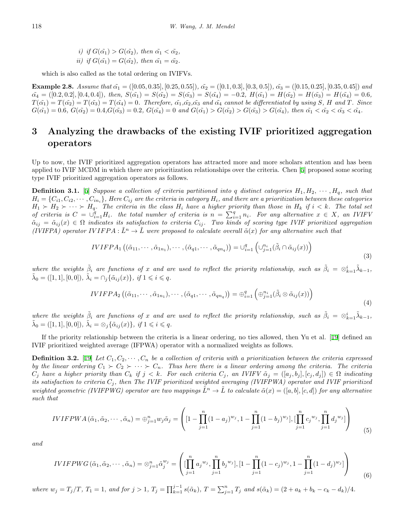*i)* if 
$$
G(\tilde{\alpha}_1) > G(\tilde{\alpha}_2)
$$
, then  $\tilde{\alpha}_1 < \tilde{\alpha}_2$ ,  
*ii)* if  $G(\tilde{\alpha}_1) = G(\tilde{\alpha}_2)$ , then  $\tilde{\alpha}_1 = \tilde{\alpha}_2$ .

which is also called as the total ordering on IVIFVs.

**Example 2.8.** Assume that  $\tilde{\alpha_1} = ([0.05, 0.35], [0.25, 0.55]), \tilde{\alpha_2} = ([0.1, 0.3], [0.3, 0.5]), \tilde{\alpha_3} = ([0.15, 0.25], [0.35, 0.45])$  and  $\tilde{\alpha_4} = ([0.2, 0.2], [0.4, 0.4]),$  then,  $S(\tilde{\alpha_1}) = S(\tilde{\alpha_2}) = S(\tilde{\alpha_3}) = S(\tilde{\alpha_4}) = -0.2,$   $H(\tilde{\alpha_1}) = H(\tilde{\alpha_2}) = H(\tilde{\alpha_3}) = H(\tilde{\alpha_4}) = 0.6,$  $T(\tilde{\alpha_1}) = T(\tilde{\alpha_2}) = T(\tilde{\alpha_3}) = T(\tilde{\alpha_4}) = 0$ . Therefore,  $\tilde{\alpha_1}, \tilde{\alpha_2}, \tilde{\alpha_3}$  and  $\tilde{\alpha_4}$  cannot be differentiated by using S, H and T. Since  $G(\tilde{\alpha_1}) = 0.6, G(\tilde{\alpha_2}) = 0.4, G(\tilde{\alpha_3}) = 0.2, G(\tilde{\alpha_4}) = 0$  and  $G(\tilde{\alpha_1}) > G(\tilde{\alpha_2}) > G(\tilde{\alpha_3}) > G(\tilde{\alpha_4}),$  then  $\tilde{\alpha_1} < \tilde{\alpha_2} < \tilde{\alpha_3} < \tilde{\alpha_4}$ .

# **3 Analyzing the drawbacks of the existing IVIF prioritized aggregation operators**

Up to now, the IVIF prioritized aggregation operators has attracted more and more scholars attention and has been applied to IVIF MCDM in which there are prioritization relationships over the criteria. Chen [[5](#page-11-4)] proposed some scoring type IVIF prioritized aggregation operators as follows.

**Definition 3.1.** [[5\]](#page-11-4) *Suppose a collection of criteria partitioned into q distinct categories*  $H_1, H_2, \cdots, H_q$ *, such that*  $H_i = \{C_{i1}, C_{i2}, \cdots, C_{in_i}\}\$ , Here  $C_{ij}$  are the criteria in category  $H_i$ , and there are a prioritization between these categories  $H_1 \succ H_2 \succ \cdots \succ H_q$ . The criteria in the class  $H_i$  have a higher priority than those in  $H_k$  if  $i < k$ . The total set of criteria is  $C = \bigcup_{i=1}^{q} H_i$ . the total number of criteria is  $n = \sum_{i=1}^{q} n_i$ . For any alternative  $x \in X$ , an IVIFV  $\tilde{\alpha}_{ij} = \tilde{\alpha}_{ij}(x) \in \Omega$  indicates its satisfaction to criteria  $C_{ij}$ . Two kinds of scoring type IVIF prioritized aggregation *(IVIFPA) operator IVIFPA* :  $\tilde{L}^n \to \tilde{L}$  were proposed to calculate overall  $\tilde{\alpha}(x)$  for any alternative such that

$$
IVIFPA_1 ((\tilde{\alpha}_{11}, \cdots, \tilde{\alpha}_{1n_1}), \cdots, (\tilde{\alpha}_{q1}, \cdots, \tilde{\alpha}_{qn_q})) = \cup_{i=1}^q \left( \cup_{j=1}^{n_i} (\tilde{\beta}_i \cap \tilde{\alpha}_{ij}(x)) \right)
$$
(3)

where the weights  $\tilde{\beta}_i$  are functions of x and are used to reflect the priority relationship, such as  $\tilde{\beta}_i = \otimes_{k=1}^i \tilde{\lambda}_{k-1}$ ,  $\tilde{\lambda}_0 = ([1, 1], [0, 0]), \ \tilde{\lambda}_i = \cap_j \{\tilde{\alpha}_{ij}(x)\}, \ \text{if } 1 \leq i \leq q.$ 

$$
IVIFPA_{2}\left((\tilde{\alpha}_{11},\cdots,\tilde{\alpha}_{1n_{1}}),\cdots,(\tilde{\alpha}_{q1},\cdots,\tilde{\alpha}_{qn_{q}})\right)=\oplus_{i=1}^{q}\left(\oplus_{j=1}^{n_{i}}(\tilde{\beta}_{i}\otimes\tilde{\alpha}_{ij}(x))\right)
$$
\n
$$
\tag{4}
$$

where the weights  $\tilde{\beta}_i$  are functions of x and are used to reflect the priority relationship, such as  $\tilde{\beta}_i = \otimes_{k=1}^i \tilde{\lambda}_{k-1}$ ,  $\tilde{\lambda}_0 = ([1, 1], [0, 0]), \ \tilde{\lambda}_i = \otimes_j {\{\tilde{\alpha}_{ij}(x)\}}, \ \text{if } 1 \leq i \leq q.$ 

If the priority relationship between the criteria is a linear ordering, no ties allowed, then Yu et al. [[19](#page-12-15)] defined an IVIF prioritized weighted average (IFPWA) operator with a normalized weights as follows.

**Definition 3.2.** [[19\]](#page-12-15) Let  $C_1, C_2, \cdots, C_n$  be a collection of criteria with a prioritization between the criteria expressed *by the linear ordering*  $C_1 \succ C_2 \succ \cdots \succ C_n$ . Thus here there is a linear ordering among the criteria. The criteria  $C_j$  have a higher priority than  $C_k$  if  $j < k$ . For each criteria  $C_j$ , an IVIFV  $\tilde{\alpha}_j = ([a_j, b_j], [c_j, d_j]) \in \Omega$  indicating *its satisfaction to criteria C<sup>j</sup> , then The IVIF prioritized weighted averaging (IVIFPWA) operator and IVIF prioritized weighted geometric (IVIFPWG) operator are two mappings*  $\tilde{L}^n \to \tilde{L}$  to calculate  $\tilde{\alpha}(x) = (a, b], [c, d]$  for any alternative *such that*

$$
IVIFPWA (\tilde{\alpha}_1, \tilde{\alpha}_2, \cdots, \tilde{\alpha}_n) = \bigoplus_{j=1}^n w_j \tilde{\alpha}_j = \left( [1 - \prod_{j=1}^n (1 - a_j)^{w_j}, 1 - \prod_{j=1}^n (1 - b_j)^{w_j}], [\prod_{j=1}^n c_j^{w_j}, \prod_{j=1}^n d_j^{w_j}] \right)
$$
(5)

*and*

$$
IVIFPWG(\tilde{\alpha}_1, \tilde{\alpha}_2, \cdots, \tilde{\alpha}_n) = \otimes_{j=1}^n \tilde{\alpha}_j^{w_j} = \left( [\prod_{j=1}^n a_j^{w_j}, \prod_{j=1}^n b_j^{w_j}], [1 - \prod_{j=1}^n (1 - c_j)^{w_j}, 1 - \prod_{j=1}^n (1 - d_j)^{w_j}] \right)
$$
(6)

where  $w_j = T_j/T$ ,  $T_1 = 1$ , and for  $j > 1$ ,  $T_j = \prod_{k=1}^{j-1} s(\tilde{\alpha}_k)$ ,  $T = \sum_{j=1}^{n} T_j$  and  $s(\tilde{\alpha}_k) = (2 + a_k + b_k - c_k - d_k)/4$ .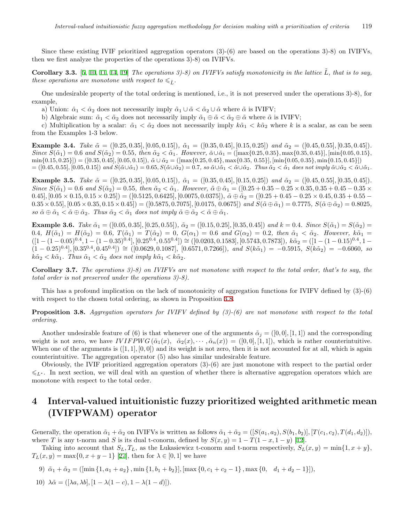Since these existing IVIF prioritized aggregation operators (3)-(6) are based on the operations 3)-8) on IVIFVs, then we first analyze the properties of the operations 3)-8) on IVIFVs.

**Corollary 3.3.** [\[5](#page-11-4), [10](#page-12-16), [11](#page-12-17), [14,](#page-12-18) [19\]](#page-12-15) *The operations 3)-8) on IVIFVs satisfy monotonicity in the lattice L*˜*, that is to say, these operations are monotone with respect to*  $\leq \tilde{L}$ .

One undesirable property of the total ordering is mentioned, i.e., it is not preserved under the operations 3)-8), for example,

a) Union:  $\hat{\alpha}_1 < \hat{\alpha}_2$  does not necessarily imply  $\tilde{\alpha}_1 \cup \tilde{\alpha} < \tilde{\alpha}_2 \cup \tilde{\alpha}$  where  $\tilde{\alpha}$  is IVIFV;

b) Algebraic sum:  $\tilde{\alpha}_1 < \tilde{\alpha}_2$  does not necessarily imply  $\tilde{\alpha}_1 \oplus \tilde{\alpha} < \tilde{\alpha}_2 \oplus \tilde{\alpha}$  where  $\tilde{\alpha}$  is IVIFV;

c) Multiplication by a scalar:  $\tilde{\alpha}_1 < \tilde{\alpha}_2$  does not necessarily imply  $k\tilde{\alpha}_1 < k\tilde{\alpha}_2$  where k is a scalar, as can be seen from the Examples 1-3 below.

**Example 3.4.** Take  $\tilde{\alpha} = ([0.25, 0.35], [0.05, 0.15]), \tilde{\alpha}_1 = ([0.35, 0.45], [0.15, 0.25])$  and  $\tilde{\alpha}_2 = ([0.45, 0.55], [0.35, 0.45]).$ Since  $S(\tilde{\alpha}_1) = 0.6$  and  $S(\tilde{\alpha}_2) = 0.55$ , then  $\tilde{\alpha}_2 < \tilde{\alpha}_1$ . However,  $\tilde{\alpha} \cup \tilde{\alpha}_1 = (\max\{0.25, 0.35\}, \max\{0.35, 0.45\}], \min\{0.05, 0.15\},\$  $\min\{0.15, 0.25\}\$  =  $([0.35, 0.45], [0.05, 0.15]), \tilde{\alpha} \cup \tilde{\alpha}_2 = ([\max\{0.25, 0.45\}, \max\{0.35, 0.55\}], [\min\{0.05, 0.35\}, \min\{0.15, 0.45\}])$  $= ([0.45, 0.55], [0.05, 0.15])$  and  $S(\tilde{\alpha} \cup \tilde{\alpha}_1) = 0.65$ ,  $S(\tilde{\alpha} \cup \tilde{\alpha}_2) = 0.7$ , so  $\tilde{\alpha} \cup \tilde{\alpha}_1 < \tilde{\alpha} \cup \tilde{\alpha}_2$ . Thus  $\tilde{\alpha}_2 < \tilde{\alpha}_1$  does not imply  $\tilde{\alpha} \cup \tilde{\alpha}_2 < \tilde{\alpha} \cup \tilde{\alpha}_1$ .

**Example 3.5.** Take  $\tilde{\alpha} = ([0.25, 0.35], [0.05, 0.15])$ ,  $\tilde{\alpha}_1 = ([0.35, 0.45], [0.15, 0.25])$  and  $\tilde{\alpha}_2 = ([0.45, 0.55], [0.35, 0.45])$ . Since  $S(\tilde{\alpha}_1) = 0.6$  and  $S(\tilde{\alpha}_2) = 0.55$ , then  $\tilde{\alpha}_2 < \tilde{\alpha}_1$ . However,  $\tilde{\alpha} \oplus \tilde{\alpha}_1 = ([0.25 + 0.35 - 0.25 \times 0.35, 0.35 + 0.45 - 0.35 \times 0.35])$  $(0.45], [0.05 \times 0.15, 0.15 \times 0.25]) = ([0.5125, 0.6425], [0.0075, 0.0375]), \tilde{\alpha} \oplus \tilde{\alpha}_2 = ([0.25 + 0.45 - 0.25 \times 0.45, 0.35 + 0.55 - 0.055])$  $0.35 \times 0.55$ ,  $[0.05 \times 0.35, 0.15 \times 0.45] = ([0.5875, 0.7075], [0.0175, 0.0675])$  and  $S(\tilde{\alpha} \oplus \tilde{\alpha}_1) = 0.7775$ ,  $S(\tilde{\alpha} \oplus \tilde{\alpha}_2) = 0.8025$ ,  $so \ \tilde{\alpha} \oplus \tilde{\alpha}_1 < \tilde{\alpha} \oplus \tilde{\alpha}_2$ . Thus  $\tilde{\alpha}_2 < \tilde{\alpha}_1$  does not imply  $\tilde{\alpha} \oplus \tilde{\alpha}_2 < \tilde{\alpha} \oplus \tilde{\alpha}_1$ .

**Example 3.6.** Take  $\tilde{\alpha}_1 = ([0.05, 0.35], [0.25, 0.55]), \tilde{\alpha}_2 = ([0.15, 0.25], [0.35, 0.45])$  and  $k = 0.4$ . Since  $S(\tilde{\alpha}_1) = S(\tilde{\alpha}_2) =$ 0.4,  $H(\tilde{\alpha}_1) = H(\tilde{\alpha}_2) = 0.6$ ,  $T(\tilde{\alpha}_1) = T(\tilde{\alpha}_2) = 0$ ,  $G(\alpha_1) = 0.6$  and  $G(\alpha_2) = 0.2$ , then  $\tilde{\alpha}_1 < \tilde{\alpha}_2$ . However,  $k\tilde{\alpha}_1 =$  $([1 - (1 - 0.05)^{0.4}, 1 - (1 - 0.35)^{0.4}], [0.25^{0.4}, 0.55^{0.4}]) \cong ([0.0203, 0.1583], [0.5743, 0.7873]), k\tilde{\alpha}_2 = ([1 - (1 - 0.15)^{0.4}, 1 - 0.15)^{0.4}],$  $(1-0.25)^{0.4}$ ,  $[0.35^{0.4}, 0.45^{0.4}]) \cong ([0.0629, 0.1087], [0.6571, 0.7266])$ , and  $S(k\tilde{\alpha}_1) = -0.5915$ ,  $S(k\tilde{\alpha}_2) = -0.6060$ , so  $k\tilde{\alpha}_2 < k\tilde{\alpha}_1$ *. Thus*  $\tilde{\alpha}_1 < \tilde{\alpha}_2$  *does not imply*  $k\tilde{\alpha}_1 < k\tilde{\alpha}_2$ *.* 

**Corollary 3.7.** *The operations 3)-8) on IVIFVs are not monotone with respect to the total order, that's to say, the total order is not preserved under the operations 3)-8).*

This has a profound implication on the lack of monotonicity of aggregation functions for IVIFV defined by (3)-(6) with respect to the chosen total ordering, as shown in Proposition [3.8.](#page-4-0)

<span id="page-4-0"></span>**Proposition 3.8.** *Aggregation operators for IVIFV defined by (3)-(6) are not monotone with respect to the total ordering.*

Another undesirable feature of (6) is that whenever one of the arguments  $\tilde{\alpha}_j = ([0,0], [1,1])$  and the corresponding weight is not zero, we have  $IVIFPWG(\tilde{\alpha}_1(x), \tilde{\alpha}_2(x), \cdots, \tilde{\alpha}_n(x)) = ([0,0], [1,1]),$  which is rather counterintuitive. When one of the arguments is  $([1, 1], [0, 0])$  and its weight is not zero, then it is not accounted for at all, which is again counterintuitive. The aggregation operator (5) also has similar undesirable feature.

Obviously, the IVIF prioritized aggregation operators (3)-(6) are just monotone with respect to the partial order 6*<sup>L</sup><sup>∗</sup>* . In next section, we will deal with an question of whether there is alternative aggregation operators which are monotone with respect to the total order.

# **4 Interval-valued intuitionistic fuzzy prioritized weighted arithmetic mean (IVIFPWAM) operator**

Generally, the operation  $\tilde{\alpha}_1 + \tilde{\alpha}_2$  on IVIFVs is written as follows  $\tilde{\alpha}_1 + \tilde{\alpha}_2 = ([S(a_1, a_2), S(b_1, b_2)], [T(c_1, c_2), T(d_1, d_2)]$ , where *T* is any t-norm and *S* is its dual t-conorm, defined by  $S(x, y) = 1 - T(1 - x, 1 - y)$  [[12\]](#page-12-20).

Taking into account that  $S_L, T_L$ , as the Lukasiewicz t-conorm and t-norm respectively,  $S_L(x, y) = \min\{1, x + y\}$ ,  $T_L(x, y) = \max\{0, x + y - 1\}$  [[27\]](#page-12-9), then for  $\lambda \in [0, 1]$  we have

9) 
$$
\tilde{\alpha}_1 + \tilde{\alpha}_2 = (\text{min} \{1, a_1 + a_2\}, \text{min} \{1, b_1 + b_2\}], \text{max} \{0, c_1 + c_2 - 1\}, \text{max} \{0, d_1 + d_2 - 1\}]),
$$

10) 
$$
\lambda \tilde{\alpha} = ([\lambda a, \lambda b], [1 - \lambda (1 - c), 1 - \lambda (1 - d)]).
$$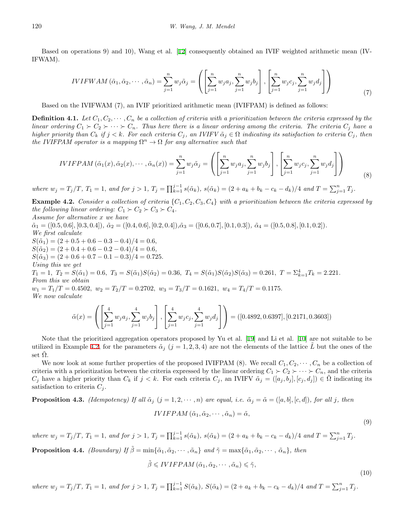Based on operations 9) and 10), Wang et al. [\[12](#page-12-20)] consequently obtained an IVIF weighted arithmetic mean (IV-IFWAM).

$$
IVIFWAM\left(\tilde{\alpha}_{1},\tilde{\alpha}_{2},\cdots,\tilde{\alpha}_{n}\right)=\sum_{j=1}^{n}w_{j}\tilde{\alpha}_{j}=\left(\left[\sum_{j=1}^{n}w_{j}a_{j},\sum_{j=1}^{n}w_{j}b_{j}\right],\left[\sum_{j=1}^{n}w_{j}c_{j},\sum_{j=1}^{n}w_{j}d_{j}\right]\right)
$$
\n(7)

Based on the IVIFWAM (7), an IVIF prioritized arithmetic mean (IVIFPAM) is defined as follows:

**Definition 4.1.** Let  $C_1, C_2, \cdots, C_n$  be a collection of criteria with a prioritization between the criteria expressed by the *linear ordering*  $C_1 \succ C_2 \succ \cdots \succ C_n$ . Thus here there is a linear ordering among the criteria. The criteria  $C_i$  have a higher priority than  $C_k$  if  $j < k$ . For each criteria  $C_j$ , an IVIFV  $\tilde{\alpha}_j \in \Omega$  indicating its satisfaction to criteria  $C_j$ , then *the IVIFPAM operator is a mapping*  $\Omega^n \to \Omega$  *for any alternative such that* 

$$
IVIFPAM\left(\tilde{\alpha}_{1}(x),\tilde{\alpha}_{2}(x),\cdots,\tilde{\alpha}_{n}(x)\right)=\sum_{j=1}^{n}w_{j}\tilde{\alpha}_{j}=\left(\left[\sum_{j=1}^{n}w_{j}a_{j},\sum_{j=1}^{n}w_{j}b_{j}\right],\left[\sum_{j=1}^{n}w_{j}c_{j},\sum_{j=1}^{n}w_{j}d_{j}\right]\right)
$$
\n(8)

where  $w_j = T_j/T$ ,  $T_1 = 1$ , and for  $j > 1$ ,  $T_j = \prod_{k=1}^{j-1} s(\tilde{\alpha}_k)$ ,  $s(\tilde{\alpha}_k) = (2 + a_k + b_k - c_k - d_k)/4$  and  $T = \sum_{j=1}^{n} T_j$ .

<span id="page-5-0"></span>**Example 4.2.** *Consider a collection of criteria*  $\{C_1, C_2, C_3, C_4\}$  *with a prioritization between the criteria expressed by the following linear ordering:*  $C_1 \succ C_2 \succ C_3 \succ C_4$ .

*Assume for alternative x we have*

 $\tilde{\alpha}_1 = ([0.5, 0.6], [0.3, 0.4]), \ \tilde{\alpha}_2 = ([0.4, 0.6], [0.2, 0.4]), \tilde{\alpha}_3 = ([0.6, 0.7], [0.1, 0.3]), \ \tilde{\alpha}_4 = ([0.5, 0.8], [0.1, 0.2]).$ *We first calculate*

 $S(\tilde{\alpha}_1) = (2 + 0.5 + 0.6 - 0.3 - 0.4)/4 = 0.6$ ,

 $S(\tilde{\alpha}_2) = (2 + 0.4 + 0.6 - 0.2 - 0.4)/4 = 0.6$ ,

 $S(\tilde{\alpha}_3) = (2 + 0.6 + 0.7 - 0.1 - 0.3)/4 = 0.725$ .

*Using this we get*

 $T_1 = 1, T_2 = S(\tilde{\alpha}_1) = 0.6, T_3 = S(\tilde{\alpha}_1)S(\tilde{\alpha}_2) = 0.36, T_4 = S(\tilde{\alpha}_1)S(\tilde{\alpha}_2)S(\tilde{\alpha}_3) = 0.261, T = \sum_{k=1}^{4} T_k = 2.221.$ *From this we obtain*

 $w_1 = T_1/T = 0.4502, \ w_2 = T_2/T = 0.2702, \ w_3 = T_3/T = 0.1621, \ w_4 = T_4/T = 0.1175.$ *We now calculate*

$$
\tilde{\alpha}(x) = \left( \left[ \sum_{j=1}^{4} w_j a_j, \sum_{j=1}^{4} w_j b_j \right], \left[ \sum_{j=1}^{4} w_j c_j, \sum_{j=1}^{4} w_j d_j \right] \right) = ([0.4892, 0.6397], [0.2171, 0.3603])
$$

Note that the prioritized aggregation operators proposed by Yu et al. [[19\]](#page-12-15) and Li et al. [\[10](#page-12-16)] are not suitable to be utilized in Example [4.2,](#page-5-0) for the parameters  $\tilde{\alpha}_j$  ( $j = 1, 2, 3, 4$ ) are not the elements of the lattice *L* but the ones of the set  $\tilde{\Omega}$ .

We now look at some further properties of the proposed IVIFPAM (8). We recall  $C_1, C_2, \cdots, C_n$  be a collection of criteria with a prioritization between the criteria expressed by the linear ordering  $C_1 \succ C_2 \succ \cdots \succ C_n$ , and the criteria  $C_i$  have a higher priority than  $C_k$  if  $j < k$ . For each criteria  $C_j$ , an IVIFV  $\tilde{\alpha}_j = ([a_j, b_j], [c_j, d_j]) \in \tilde{\Omega}$  indicating its satisfaction to criteria  $C_i$ .

**Proposition 4.3.** *(Idempotency)* If all  $\tilde{\alpha}_i$   $(j = 1, 2, \dots, n)$  are equal, i.e.  $\tilde{\alpha}_i = \tilde{\alpha} = ([a, b], [c, d])$ , for all j, then

$$
IVIFPAM\left(\tilde{\alpha}_{1},\tilde{\alpha}_{2},\cdots,\tilde{\alpha}_{n}\right)=\tilde{\alpha},
$$

(9)

(10)

where  $w_j = T_j/T$ ,  $T_1 = 1$ , and for  $j > 1$ ,  $T_j = \prod_{k=1}^{j-1} s(\tilde{\alpha}_k)$ ,  $s(\tilde{\alpha}_k) = (2 + a_k + b_k - c_k - d_k)/4$  and  $T = \sum_{j=1}^{n} T_j$ .

**Proposition 4.4.** *(Boundary)* If  $\tilde{\beta} = \min{\{\tilde{\alpha}_1, \tilde{\alpha}_2, \cdots, \tilde{\alpha}_n\}}$  and  $\tilde{\gamma} = \max{\{\tilde{\alpha}_1, \tilde{\alpha}_2, \cdots, \tilde{\alpha}_n\}}$ , then

$$
\tilde{\beta} \leq IVIFPAM\left(\tilde{\alpha}_1, \tilde{\alpha}_2, \cdots, \tilde{\alpha}_n\right) \leq \tilde{\gamma},
$$

where  $w_j = T_j/T$ ,  $T_1 = 1$ , and for  $j > 1$ ,  $T_j = \prod_{k=1}^{j-1} S(\tilde{\alpha}_k)$ ,  $S(\tilde{\alpha}_k) = (2 + a_k + b_k - c_k - d_k)/4$  and  $T = \sum_{j=1}^{n} T_j$ .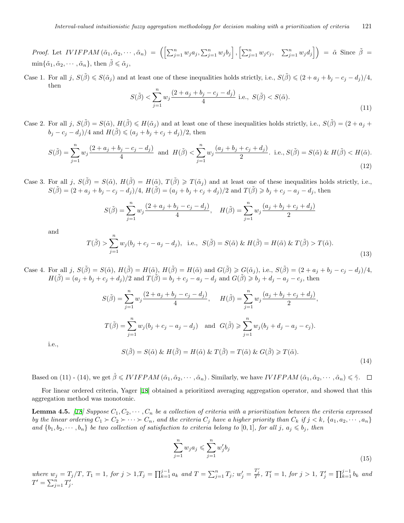*Proof.* Let  $IVIFPAM\left(\tilde{\alpha}_1, \tilde{\alpha}_2, \cdots, \tilde{\alpha}_n\right) = \left(\left[\sum_{j=1}^n w_j a_j, \sum_{j=1}^n w_j b_j\right], \left[\sum_{j=1}^n w_j c_j, \sum_{j=1}^n w_j d_j\right]\right) = \tilde{\alpha}$  Since  $\tilde{\beta} =$  $\min{\{\tilde{\alpha}_1, \tilde{\alpha}_2, \cdots, \tilde{\alpha}_n\}}$ , then  $\tilde{\beta} \leq \tilde{\alpha}_j$ ,

Case 1. For all j,  $S(\tilde{\beta}) \leqslant S(\tilde{\alpha}_j)$  and at least one of these inequalities holds strictly, i.e.,  $S(\tilde{\beta}) \leqslant (2 + a_j + b_j - c_j - d_j)/4$ , then

$$
S(\tilde{\beta}) < \sum_{j=1}^{n} w_j \frac{(2 + a_j + b_j - c_j - d_j)}{4} \text{ i.e., } S(\tilde{\beta}) < S(\tilde{\alpha}). \tag{11}
$$

Case 2. For all j,  $S(\tilde{\beta}) = S(\tilde{\alpha})$ ,  $H(\tilde{\beta}) \leq H(\tilde{\alpha}_j)$  and at least one of these inequalities holds strictly, i.e.,  $S(\tilde{\beta}) = (2 + a_j + a_j)$ *b*<sub>*j*</sub> − *c*<sub>*j*</sub> − *d*<sub>*j*</sub>)/4 and *H*( $\tilde{\beta}$ ) ≤ (*a*<sub>*j*</sub> + *b*<sub>*j*</sub> + *c*<sub>*j*</sub> + *d*<sub>*j*</sub>)/2, then

$$
S(\tilde{\beta}) = \sum_{j=1}^{n} w_j \frac{(2 + a_j + b_j - c_j - d_j)}{4} \text{ and } H(\tilde{\beta}) < \sum_{j=1}^{n} w_j \frac{(a_j + b_j + c_j + d_j)}{2}. \text{ i.e., } S(\tilde{\beta}) = S(\tilde{\alpha}) \& H(\tilde{\beta}) < H(\tilde{\alpha}).
$$
\n(12)

Case 3. For all *j*,  $S(\tilde{\beta}) = S(\tilde{\alpha})$ ,  $H(\tilde{\beta}) = H(\tilde{\alpha})$ ,  $T(\tilde{\beta}) \geq T(\tilde{\alpha}_i)$  and at least one of these inequalities holds strictly, i.e.,  $S(\tilde{\beta}) = (2 + a_j + b_j - c_j - d_j)/4$ ,  $H(\tilde{\beta}) = (a_j + b_j + c_j + d_j)/2$  and  $T(\tilde{\beta}) \geq b_j + c_j - a_j - d_j$ , then

$$
S(\tilde{\beta}) = \sum_{j=1}^{n} w_j \frac{(2 + a_j + b_j - c_j - d_j)}{4}, \quad H(\tilde{\beta}) = \sum_{j=1}^{n} w_j \frac{(a_j + b_j + c_j + d_j)}{2}
$$

and

$$
T(\tilde{\beta}) > \sum_{j=1}^{n} w_j (b_j + c_j - a_j - d_j), \text{ i.e., } S(\tilde{\beta}) = S(\tilde{\alpha}) \& H(\tilde{\beta}) = H(\tilde{\alpha}) \& T(\tilde{\beta}) > T(\tilde{\alpha}).
$$
\n(13)

Case 4. For all j,  $S(\tilde{\beta}) = S(\tilde{\alpha})$ ,  $H(\tilde{\beta}) = H(\tilde{\alpha})$ ,  $H(\tilde{\beta}) = H(\tilde{\alpha})$  and  $G(\tilde{\beta}) \ge G(\tilde{\alpha}_j)$ , i.e.,  $S(\tilde{\beta}) = (2 + a_j + b_j - c_j - d_j)/4$ ,  $H(\tilde{\beta}) = (a_j + b_j + c_j + d_j)/2$  and  $T(\tilde{\beta}) = b_j + c_j - a_j - d_j$  and  $G(\tilde{\beta}) \geq b_j + d_j - a_j - c_j$ , then

$$
S(\tilde{\beta}) = \sum_{j=1}^{n} w_j \frac{(2 + a_j + b_j - c_j - d_j)}{4}, \quad H(\tilde{\beta}) = \sum_{j=1}^{n} w_j \frac{(a_j + b_j + c_j + d_j)}{2},
$$
  

$$
T(\tilde{\beta}) = \sum_{j=1}^{n} w_j (b_j + c_j - a_j - d_j) \quad \text{and} \quad G(\tilde{\beta}) \geqslant \sum_{j=1}^{n} w_j (b_j + d_j - a_j - c_j).
$$
  

$$
S(\tilde{\beta}) = S(\tilde{\alpha}) \& H(\tilde{\beta}) = H(\tilde{\alpha}) \& T(\tilde{\beta}) = T(\tilde{\alpha}) \& G(\tilde{\beta}) \geqslant T(\tilde{\alpha}).
$$
 (14)

i.e.,

Based on (11) - (14), we get  $\hat{\beta} \leq IVIFPAM(\tilde{\alpha}_1, \tilde{\alpha}_2, \cdots, \tilde{\alpha}_n)$ . Similarly, we have  $IVIFPAM(\tilde{\alpha}_1, \tilde{\alpha}_2, \cdots, \tilde{\alpha}_n) \leq \tilde{\gamma}$ .  $\Box$ 

For linear ordered criteria, Yager [\[18](#page-12-13)] obtained a prioritized averaging aggregation operator, and showed that this aggregation method was monotonic.

<span id="page-6-0"></span>**Lemma 4.5.** [[18](#page-12-13)] Suppose  $C_1, C_2, \cdots, C_n$  be a collection of criteria with a prioritization between the criteria expressed by the linear ordering  $C_1 \succ C_2 \succ \cdots \succ C_n$ , and the criteria  $C_j$  have a higher priority than  $C_k$  if  $j < k$ ,  $\{a_1, a_2, \cdots, a_n\}$ and  $\{b_1, b_2, \dots, b_n\}$  be two collection of satisfaction to criteria belong to [0,1], for all j,  $a_j \leq b_j$ , then

$$
\sum_{j=1}^{n} w_j a_j \leqslant \sum_{j=1}^{n} w'_j b_j \tag{15}
$$

where  $w_j = T_j/T$ ,  $T_1 = 1$ , for  $j > 1$ ,  $T_j = \prod_{k=1}^{j-1} a_k$  and  $T = \sum_{j=1}^n T_j$ ;  $w'_j = \frac{T'_j}{T'}$ ,  $T'_1 = 1$ , for  $j > 1$ ,  $T'_j = \prod_{k=1}^{j-1} b_k$  and  $T' = \sum_{j=1}^{n} T'_j$ .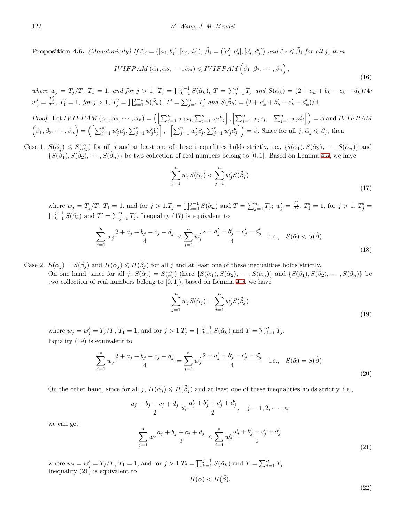**Proposition 4.6.** (Monotonicity) If  $\tilde{\alpha}_j = ([a_j, b_j], [c_j, d_j])$ ,  $\tilde{\beta}_j = ([a'_j, b'_j], [c'_j, d'_j])$  and  $\tilde{\alpha}_j \leq \tilde{\beta}_j$  for all j, then

$$
IVIFPAM\left(\tilde{\alpha}_{1},\tilde{\alpha}_{2},\cdots,\tilde{\alpha}_{n}\right) \leq IVIFPAM\left(\tilde{\beta}_{1},\tilde{\beta}_{2},\cdots,\tilde{\beta}_{n}\right),\tag{16}
$$

where  $w_j = T_j/T$ ,  $T_1 = 1$ , and for  $j > 1$ ,  $T_j = \prod_{k=1}^{j-1} S(\tilde{\alpha}_k)$ ,  $T = \sum_{j=1}^{n} T_j$  and  $S(\tilde{\alpha}_k) = (2 + a_k + b_k - c_k - d_k)/4$ ;  $w'_{j} = \frac{T'_{j}}{T'}$ ,  $T'_{1} = 1$ , for  $j > 1$ ,  $T'_{j} = \prod_{k=1}^{j-1} S(\tilde{\beta}_{k})$ ,  $T' = \sum_{j=1}^{n} T'_{j}$  and  $S(\tilde{\beta}_{k}) = (2 + a'_{k} + b'_{k} - c'_{k} - d'_{k})/4$ .

*Proof.* Let *IVIFPAM* 
$$
(\tilde{\alpha}_1, \tilde{\alpha}_2, \dots, \tilde{\alpha}_n) = (\left[\sum_{j=1}^n w_j a_j, \sum_{j=1}^n w_j b_j\right], \left[\sum_{j=1}^n w_j c_j, \sum_{j=1}^n w_j d_j\right]) = \tilde{\alpha}
$$
 and *IVIFPAM*  $(\tilde{\beta}_1, \tilde{\beta}_2, \dots, \tilde{\beta}_n) = (\left[\sum_{j=1}^n w'_j a'_j, \sum_{j=1}^n w'_j b'_j\right], \left[\sum_{j=1}^n w'_j c'_j, \sum_{j=1}^n w'_j d'_j\right]) = \tilde{\beta}$ . Since for all  $j, \tilde{\alpha}_j \leq \tilde{\beta}_j$ , then

Case 1.  $S(\tilde{\alpha}_j) \leqslant S(\tilde{\beta}_j)$  for all j and at least one of these inequalities holds strictly, i.e.,  $\{\tilde{s}(\tilde{\alpha}_1), S(\tilde{\alpha}_2), \cdots, S(\tilde{\alpha}_n)\}\$ and  $\{S(\tilde{\beta}_1), S(\tilde{\beta}_2), \cdots, S(\tilde{\beta}_n)\}$  be two collection of real numbers belong to [0, 1]. Based on Lemma [4.5](#page-6-0), we have

$$
\sum_{j=1}^{n} w_j S(\tilde{\alpha}_j) < \sum_{j=1}^{n} w'_j S(\tilde{\beta}_j) \tag{17}
$$

where  $w_j = T_j/T$ ,  $T_1 = 1$ , and for  $j > 1$ ,  $T_j = \prod_{k=1}^{j-1} S(\tilde{\alpha}_k)$  and  $T = \sum_{j=1}^{n} T_j$ ;  $w'_j = \frac{T'_j}{T'}$ ,  $T'_1 = 1$ , for  $j > 1$ ,  $T'_j =$  $\prod_{k=1}^{j-1} S(\tilde{\beta}_k)$  and  $T' = \sum_{j=1}^{n} T'_j$ . Inequality (17) is equivalent to

$$
\sum_{j=1}^{n} w_j \frac{2 + a_j + b_j - c_j - d_j}{4} < \sum_{j=1}^{n} w'_j \frac{2 + a'_j + b'_j - c'_j - d'_j}{4} \quad \text{i.e.,} \quad S(\tilde{\alpha}) < S(\tilde{\beta});\tag{18}
$$

Case 2.  $S(\tilde{\alpha}_j) = S(\tilde{\beta}_j)$  and  $H(\tilde{\alpha}_j) \leq H(\tilde{\beta}_j)$  for all *j* and at least one of these inequalities holds strictly. On one hand, since for all j,  $S(\tilde{\alpha}_j) = S(\tilde{\beta}_j)$  (here  $\{S(\tilde{\alpha}_1), S(\tilde{\alpha}_2), \cdots, S(\tilde{\alpha}_n)\}\$  and  $\{S(\tilde{\beta}_1), S(\tilde{\beta}_2), \cdots, S(\tilde{\beta}_n)\}\$  be two collection of real numbers belong to [0*,* 1]), based on Lemma [4.5,](#page-6-0) we have

$$
\sum_{j=1}^{n} w_j S(\tilde{\alpha}_j) = \sum_{j=1}^{n} w'_j S(\tilde{\beta}_j)
$$
\n(19)

where  $w_j = w'_j = T_j/T$ ,  $T_1 = 1$ , and for  $j > 1$ ,  $T_j = \prod_{k=1}^{j-1} S(\tilde{\alpha}_k)$  and  $T = \sum_{j=1}^{n} T_j$ . Equality (19) is equivalent to

$$
\sum_{j=1}^{n} w_j \frac{2 + a_j + b_j - c_j - d_j}{4} = \sum_{j=1}^{n} w'_j \frac{2 + a'_j + b'_j - c'_j - d'_j}{4} \quad \text{i.e.,} \quad S(\tilde{\alpha}) = S(\tilde{\beta});\tag{20}
$$

On the other hand, since for all  $j$ ,  $H(\tilde{\alpha}_j) \leq H(\tilde{\beta}_j)$  and at least one of these inequalities holds strictly, i.e.,

$$
\frac{a_j + b_j + c_j + d_j}{2} \leqslant \frac{a'_j + b'_j + c'_j + d'_j}{2}, \quad j = 1, 2, \cdots, n,
$$

we can get

$$
\sum_{j=1}^{n} w_j \frac{a_j + b_j + c_j + d_j}{2} < \sum_{j=1}^{n} w'_j \frac{a'_j + b'_j + c'_j + d'_j}{2} \tag{21}
$$

where  $w_j = w'_j = T_j/T$ ,  $T_1 = 1$ , and for  $j > 1$ ,  $T_j = \prod_{k=1}^{j-1} S(\tilde{\alpha}_k)$  and  $T = \sum_{j=1}^{n} T_j$ . Inequality  $(21)$  is equivalent to *H*(˜*α*) *< H*(*β*˜)*.*

$$
(\tilde{\alpha}) < H(\beta).
$$

(22)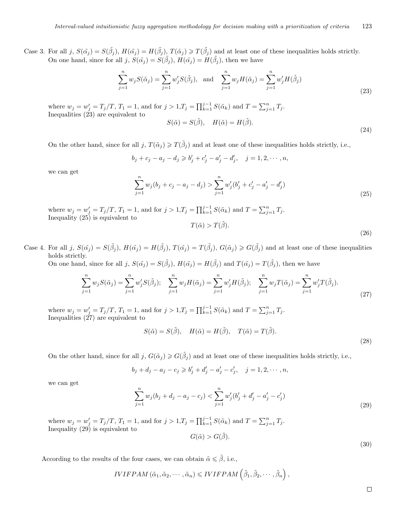Case 3. For all j,  $S(\tilde{\alpha}_j) = S(\tilde{\beta}_j)$ ,  $H(\tilde{\alpha}_j) = H(\tilde{\beta}_j)$ ,  $T(\tilde{\alpha}_j) \ge T(\tilde{\beta}_j)$  and at least one of these inequalities holds strictly. On one hand, since for all *j*,  $S(\tilde{\alpha_j}) = S(\tilde{\beta_j})$ ,  $H(\tilde{\alpha_j}) = H(\tilde{\beta_j})$ , then we have

$$
\sum_{j=1}^{n} w_j S(\tilde{\alpha}_j) = \sum_{j=1}^{n} w'_j S(\tilde{\beta}_j), \text{ and } \sum_{j=1}^{n} w_j H(\tilde{\alpha}_j) = \sum_{j=1}^{n} w'_j H(\tilde{\beta}_j)
$$
\n(23)

where  $w_j = w'_j = T_j/T$ ,  $T_1 = 1$ , and for  $j > 1$ ,  $T_j = \prod_{k=1}^{j-1} S(\tilde{\alpha}_k)$  and  $T = \sum_{j=1}^{n} T_j$ . Inequalities  $(23)$  are equivalent to

$$
S(\tilde{\alpha}) = S(\tilde{\beta}), \quad H(\tilde{\alpha}) = H(\tilde{\beta}).
$$
\n(24)

On the other hand, since for all  $j, T(\tilde{\alpha}_j) \geq T(\tilde{\beta}_j)$  and at least one of these inequalities holds strictly, i.e.,

$$
b_j + c_j - a_j - d_j \ge b'_j + c'_j - a'_j - d'_j, \quad j = 1, 2, \dots, n,
$$

we can get

$$
\sum_{j=1}^{n} w_j (b_j + c_j - a_j - d_j) > \sum_{j=1}^{n} w'_j (b'_j + c'_j - a'_j - d'_j)
$$
\n(25)

where  $w_j = w'_j = T_j/T$ ,  $T_1 = 1$ , and for  $j > 1$ ,  $T_j = \prod_{k=1}^{j-1} S(\tilde{\alpha}_k)$  and  $T = \sum_{j=1}^{n} T_j$ . Inequality (25) is equivalent to  $T(\tilde{\alpha}) > T(\tilde{\beta})$ 

$$
(\alpha) > 1 \, (\beta).
$$
 (26)

Case 4. For all j,  $S(\tilde{\alpha}_j) = S(\tilde{\beta}_j)$ ,  $H(\tilde{\alpha}_j) = H(\tilde{\beta}_j)$ ,  $T(\tilde{\alpha}_j) = T(\tilde{\beta}_j)$ ,  $G(\tilde{\alpha}_j) \geq G(\tilde{\beta}_j)$  and at least one of these inequalities holds strictly.

On one hand, since for all j,  $S(\tilde{\alpha}_j) = S(\tilde{\beta}_j)$ ,  $H(\tilde{\alpha}_j) = H(\tilde{\beta}_j)$  and  $T(\tilde{\alpha}_j) = T(\tilde{\beta}_j)$ , then we have

$$
\sum_{j=1}^{n} w_j S(\tilde{\alpha}_j) = \sum_{j=1}^{n} w'_j S(\tilde{\beta}_j); \quad \sum_{j=1}^{n} w_j H(\tilde{\alpha}_j) = \sum_{j=1}^{n} w'_j H(\tilde{\beta}_j); \quad \sum_{j=1}^{n} w_j T(\tilde{\alpha}_j) = \sum_{j=1}^{n} w'_j T(\tilde{\beta}_j).
$$
\n(27)

where  $w_j = w'_j = T_j/T$ ,  $T_1 = 1$ , and for  $j > 1$ ,  $T_j = \prod_{k=1}^{j-1} S(\tilde{\alpha}_k)$  and  $T = \sum_{j=1}^{n} T_j$ . Inequalities  $(27)$  are equivalent to

$$
S(\tilde{\alpha}) = S(\tilde{\beta}), \quad H(\tilde{\alpha}) = H(\tilde{\beta}), \quad T(\tilde{\alpha}) = T(\tilde{\beta}).
$$
\n(28)

On the other hand, since for all  $j$ ,  $G(\tilde{\alpha}_j) \geq G(\tilde{\beta}_j)$  and at least one of these inequalities holds strictly, i.e.,

$$
b_j + d_j - a_j - c_j \ge b'_j + d'_j - a'_j - c'_j, \quad j = 1, 2, \cdots, n,
$$

we can get

$$
\sum_{j=1}^{n} w_j (b_j + d_j - a_j - c_j) < \sum_{j=1}^{n} w'_j (b'_j + d'_j - a'_j - c'_j) \tag{29}
$$

where  $w_j = w'_j = T_j/T$ ,  $T_1 = 1$ , and for  $j > 1$ ,  $T_j = \prod_{k=1}^{j-1} S(\tilde{\alpha}_k)$  and  $T = \sum_{j=1}^{n} T_j$ . Inequality (29) is equivalent to

$$
G(\tilde{\alpha}) > G(\tilde{\beta}).
$$

According to the results of the four cases, we can obtain  $\tilde{\alpha} \leq \tilde{\beta}$ , i.e.,

$$
IVIFPAM\left(\tilde{\alpha}_{1},\tilde{\alpha}_{2},\cdots,\tilde{\alpha}_{n}\right)\leqslant IVIFPAM\left(\tilde{\beta}_{1},\tilde{\beta}_{2},\cdots,\tilde{\beta}_{n}\right),
$$

 $\Box$ 

(30)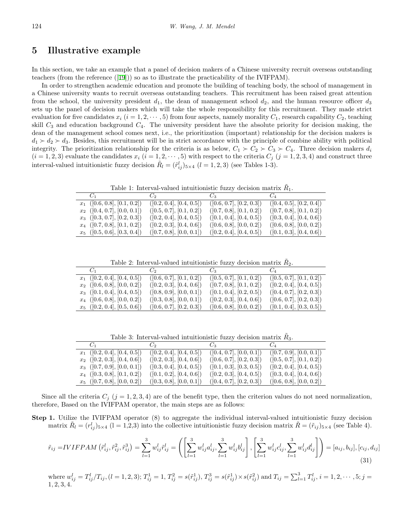### **5 Illustrative example**

In this section, we take an example that a panel of decision makers of a Chinese university recruit overseas outstanding teachers (from the reference  $([19])$  $([19])$  $([19])$ ) so as to illustrate the practicability of the IVIFPAM).

In order to strengthen academic education and promote the building of teaching body, the school of management in a Chinese university wants to recruit overseas outstanding teachers. This recruitment has been raised great attention from the school, the university president  $d_1$ , the dean of management school  $d_2$ , and the human resource officer  $d_3$ sets up the panel of decision makers which will take the whole responsibility for this recruitment. They made strict evaluation for five candidates  $x_i$  ( $i = 1, 2, \dots, 5$ ) from four aspects, namely morality  $C_1$ , research capability  $C_2$ , teaching skill *C*<sup>3</sup> and education background *C*4. The university president have the absolute priority for decision making, the dean of the management school comes next, i.e., the prioritization (important) relationship for the decision makers is  $d_1 \succ d_2 \succ d_3$ . Besides, this recruitment will be in strict accordance with the principle of combine ability with political integrity. The prioritization relationship for the criteria is as below,  $C_1 \succ C_2 \succ C_3 \succ C_4$ . Three decision makers  $d_i$  $(i = 1, 2, 3)$  evaluate the candidates  $x_i$   $(i = 1, 2, \dots, 5)$  with respect to the criteria  $C_j$   $(j = 1, 2, 3, 4)$  and construct three interval-valued intuitionistic fuzzy decision  $\tilde{R}_l = (\tilde{r}_{ij}^l)_{5 \times 4}$  (*l* = 1, 2, 3) (see Tables 1-3).

Table 1: Interval-valued intuitionistic fuzzy decision matrix  $\tilde{R}_1$ .

|                                |                          | $C_1$ $C_2$ $C_3$ $C_4$  |                          |
|--------------------------------|--------------------------|--------------------------|--------------------------|
| $x_1$ ([0.6, 0.8], [0.1, 0.2]) | ([0.2, 0.4], [0.4, 0.5]) | ([0.6, 0.7], [0.2, 0.3]) | ([0.4, 0.5], [0.2, 0.4]) |
| $x_2$ ([0.4, 0.7], [0.0, 0.1]) | ([0.5, 0.7], [0.1, 0.2]) | ([0.7, 0.8], [0.1, 0.2]) | ([0.7, 0.8], [0.1, 0.2]) |
| $x_3$ ([0.3, 0.7], [0.2, 0.3]) | ([0.2, 0.4], [0.4, 0.5]) | ([0.1, 0.4], [0.4, 0.5]) | ([0.3, 0.4], [0.4, 0.6]) |
| $x_4$ ([0.7, 0.8], [0.1, 0.2]) | ([0.2, 0.3], [0.4, 0.6]) | ([0.6, 0.8], [0.0, 0.2]) | ([0.6, 0.8], [0.0, 0.2]) |
| $x_5$ ([0.5, 0.6], [0.3, 0.4]) | ([0.7, 0.8], [0.0, 0.1]) | ([0.2, 0.4], [0.4, 0.5]) | ([0.1, 0.3], [0.4, 0.6]) |

Table 2: Interval-valued intuitionistic fuzzy decision matrix  $\tilde{R}_2$ .

|                                | $C_1$ $C_2$ $C_3$ $C_4$  |                          |                          |
|--------------------------------|--------------------------|--------------------------|--------------------------|
| $x_1$ ([0.2, 0.4], [0.4, 0.5]) | ([0.6, 0.7], [0.1, 0.2]) | ([0.5, 0.7], [0.1, 0.2]) | ([0.5, 0.7], [0.1, 0.2]) |
| $x_2$ ([0.6, 0.8], [0.0, 0.2]) | ([0.2, 0.3], [0.4, 0.6]) | ([0.7, 0.8], [0.1, 0.2]) | ([0.2, 0.4], [0.4, 0.5]) |
| $x_3$ ([0.1, 0.4], [0.4, 0.5]) | ([0.8, 0.9], [0.0, 0.1]) | ([0.1, 0.4], [0.2, 0.5]) | ([0.4, 0.7], [0.2, 0.3]) |
| $x_4$ ([0.6, 0.8], [0.0, 0.2]) | ([0.3, 0.8], [0.0, 0.1]) | ([0.2, 0.3], [0.4, 0.6]) | ([0.6, 0.7], [0.2, 0.3]) |
| $x_5$ ([0.2, 0.4], [0.5, 0.6]) | ([0.6, 0.7], [0.2, 0.3]) | ([0.6, 0.8], [0.0, 0.2]) | ([0.1, 0.4], [0.3, 0.5]) |

Table 3: Interval-valued intuitionistic fuzzy decision matrix  $\tilde{R}_3$ .

|                                | $C_1$ $C_2$ $C_3$ $C_4$  |                          |                          |
|--------------------------------|--------------------------|--------------------------|--------------------------|
| $x_1$ ([0.2, 0.4], [0.4, 0.5]) | ([0.2, 0.4], [0.4, 0.5]) | ([0.4, 0.7], [0.0, 0.1]) | ([0.7, 0.9], [0.0, 0.1]) |
| $x_2$ ([0.2, 0.3], [0.4, 0.6]) | ([0.2, 0.3], [0.4, 0.6]) | ([0.6, 0.7], [0.2, 0.3]) | ([0.5, 0.7], [0.1, 0.2]) |
| $x_3$ ([0.7, 0.9], [0.0, 0.1]) | ([0.3, 0.4], [0.4, 0.5]) | ([0.1, 0.3], [0.3, 0.5]) | ([0.2, 0.4], [0.4, 0.5]) |
| $x_4$ ([0.3, 0.8], [0.1, 0.2]) | ([0.1, 0.2], [0.4, 0.6]) | ([0.2, 0.3], [0.4, 0.5]) | ([0.3, 0.4], [0.4, 0.6]) |
| $x_5$ ([0.7, 0.8], [0.0, 0.2]) | ([0.3, 0.8], [0.0, 0.1]) | ([0.4, 0.7], [0.2, 0.3]) | ([0.6, 0.8], [0.0, 0.2]) |

Since all the criteria  $C_j$  ( $j = 1, 2, 3, 4$ ) are of the benefit type, then the criterion values do not need normalization, therefore, Based on the IVIFPAM operator, the main steps are as follows:

**Step 1.** Utilize the IVIFPAM operator (8) to aggregate the individual interval-valued intuitionistic fuzzy decision matrix  $\tilde{R}_l = (r_{ij}^l)_{5 \times 4}$  (1 = 1,2,3) into the collective intuitionistic fuzzy decision matrix  $\tilde{R} = (\tilde{r}_{ij})_{5 \times 4}$  (see Table 4).

$$
\tilde{r}_{ij} = IVIFPAM\left(\tilde{r}_{ij}^l, \tilde{r}_{ij}^2, \tilde{r}_{ij}^3\right) = \sum_{l=1}^3 w_{ij}^l \tilde{r}_{ij}^l = \left( \left[ \sum_{l=1}^3 w_{ij}^l a_{ij}^l, \sum_{l=1}^3 w_{ij}^l b_{ij}^l \right], \left[ \sum_{l=1}^3 w_{ij}^l c_{ij}^l, \sum_{l=1}^3 w_{ij}^l d_{ij}^l \right] \right) = [a_{ij}, b_{ij}], [c_{ij}, d_{ij}]
$$
\n(31)

where  $w_{ij}^l = T_{ij}^l / T_{ij}$ ,  $(l = 1, 2, 3)$ ;  $T_{ij}^1 = 1$ ,  $T_{ij}^2 = s(\tilde{r}_{ij}^1)$ ,  $T_{ij}^3 = s(\tilde{r}_{ij}^1) \times s(\tilde{r}_{ij}^2)$  and  $T_{ij} = \sum_{l=1}^3 T_{ij}^l$ ,  $i = 1, 2, \cdots, 5; j =$ 1*,* 2*,* 3*,* 4*.*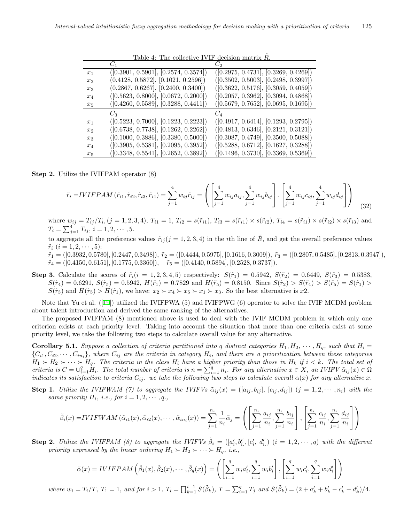|                | Lable 4. The conecutive LVII decision matrix 1t. |                                      |
|----------------|--------------------------------------------------|--------------------------------------|
|                |                                                  |                                      |
| $x_1$          | ([0.3901, 0.5901], [0.2574, 0.3574])             | ([0.2975, 0.4731], [0.3269, 0.4269]) |
| x <sub>2</sub> | (0.4128, 0.5872], [0.1021, 0.2596])              | ([0.3502, 0.5003], [0.2498, 0.3997]) |
| $x_3$          | (0.2867, 0.6267], [0.2400, 0.3400])              | ([0.3622, 0.5176], [0.3059, 0.4059]) |
| $x_4$          | ([0.5623, 0.8000], [0.0672, 0.2000])             | ([0.2057, 0.3962], [0.3094, 0.4868]) |
| $x_5$          | ([0.4260, 0.5589], [0.3288, 0.4411])             | ([0.5679, 0.7652], [0.0695, 0.1695]) |
|                | $C_{3}$                                          |                                      |
| $x_1$          | ([0.5223, 0.7000], [0.1223, 0.2223])             | ([0.4917, 0.6414], [0.1293, 0.2795]) |
| x <sub>2</sub> | ([0.6738, 0.7738], [0.1262, 0.2262])             | ([0.4813, 0.6346], [0.2121, 0.3121]) |
| $x_3$          | ([0.1000, 0.3886], [0.3380, 0.5000])             | ([0.3087, 0.4749], [0.3500, 0.5088]) |
| $x_4$          | ([0.3905, 0.5381], [0.2095, 0.3952])             | ([0.5288, 0.6712], [0.1627, 0.3288]) |
| $x_5$          | ([0.3348, 0.5541], [0.2652, 0.3892])             | ([0.1496, 0.3730], [0.3369, 0.5369]) |

Table 4: The collective IVIF decision matrix  $\tilde{R}$ 

**Step 2.** Utilize the IVIFPAM operator (8)

$$
\tilde{r}_{i} = IVIFPAM\left(\tilde{r}_{i1}, \tilde{r}_{i2}, \tilde{r}_{i3}, \tilde{r}_{i4}\right) = \sum_{j=1}^{4} w_{ij}\tilde{r}_{ij} = \left( \left[ \sum_{j=1}^{4} w_{ij}a_{ij}, \sum_{j=1}^{4} w_{ij}b_{ij} \right], \left[ \sum_{j=1}^{4} w_{ij}c_{ij}, \sum_{j=1}^{4} w_{ij}d_{ij} \right] \right) \tag{32}
$$

where  $w_{ij} = T_{ij}/T_i$ ,  $(j = 1, 2, 3, 4)$ ;  $T_{i1} = 1$ ,  $T_{i2} = s(\tilde{r}_{i1})$ ,  $T_{i3} = s(\tilde{r}_{i1}) \times s(\tilde{r}_{i2})$ ,  $T_{i4} = s(\tilde{r}_{i1}) \times s(\tilde{r}_{i2}) \times s(\tilde{r}_{i3})$  and  $T_i = \sum_{j=1}^4 T_{ij}, i = 1, 2, \cdots, 5.$ 

to aggregate all the preference values  $\tilde{r}_{ij}$  ( $j = 1, 2, 3, 4$ ) in the *i*th line of  $\tilde{R}$ , and get the overall preference values  $\tilde{r}_i$   $(i = 1, 2, \cdots, 5)$ :

 $\tilde{r}_1 = ([0.3932, 0.5780], [0.2447, 0.3498]), \ \tilde{r}_2 = ([0.4444, 0.5975], [0.1616, 0.3009]), \ \tilde{r}_3 = ([0.2807, 0.5485], [0.2813, 0.3947]),$ *r*˜<sup>4</sup> = ([0*.*4150*,* 0*.*6151]*,* [0*.*1775*,* 0*.*3360])*, r*˜<sup>5</sup> = ([0*.*4140*,* 0*.*5894]*,* [0*.*2528*,* 0*.*3737]).

**Step 3.** Calculate the scores of  $\tilde{r}_i(i = 1, 2, 3, 4, 5)$  respectively:  $S(\tilde{r}_1) = 0.5942$ ,  $S(\tilde{r}_2) = 0.6449$ ,  $S(\tilde{r}_3) = 0.5383$ ,  $S(\tilde{r}_4) = 0.6291$ ,  $S(\tilde{r}_5) = 0.5942$ ,  $H(\tilde{r}_1) = 0.7829$  and  $H(\tilde{r}_5) = 0.8150$ . Since  $S(\tilde{r}_2) > S(\tilde{r}_4) > S(\tilde{r}_5) = S(\tilde{r}_1) >$  $S(\tilde{r}_3)$  and  $H(\tilde{r}_5) > H(\tilde{r}_1)$ , we have:  $x_2 \succ x_4 \succ x_5 \succ x_1 \succ x_3$ . So the best alternative is  $x_2$ .

Note that Yu et al. ([\[19](#page-12-15)]) utilized the IVIFPWA (5) and IVIFPWG (6) operator to solve the IVIF MCDM problem about talent introduction and derived the same ranking of the alternatives.

The proposed IVIFPAM (8) mentioned above is used to deal with the IVIF MCDM problem in which only one criterion exists at each priority level. Taking into account the situation that more than one criteria exist at some priority level, we take the following two steps to calculate overall value for any alternative.

**Corollary 5.1.** Suppose a collection of criteria partitioned into q distinct categories  $H_1, H_2, \cdots, H_q$ , such that  $H_i =$  $\{C_{i1}, C_{i2}, \cdots, C_{in_i}\}\$ , where  $C_{ij}$  are the criteria in category  $H_i$ , and there are a prioritization between these categories  $H_1 \succ H_2 \succ \cdots \succ H_q$ *. The criteria in the class*  $H_i$  *have a higher priority than those in*  $H_k$  *if*  $i < k$ *. The total set of* criteria is  $C = \bigcup_{i=1}^{q} H_i$ . The total number of criteria is  $n = \sum_{i=1}^{q} n_i$ . For any alternative  $x \in X$ , an IVIFV  $\tilde{\alpha}_{ij}(x) \in \Omega$ *indicates its satisfaction to criteria*  $C_{ij}$ , we take the following two steps to calculate overall  $\alpha(x)$  for any alternative x.

**Step 1.** Utilize the IVIFWAM (7) to aggregate the IVIFVs  $\tilde{\alpha}_{ij}(x) = ([a_{ij}, b_{ij}], [c_{ij}, d_{ij}])$   $(j = 1, 2, \dots, n_i)$  with the *same priority*  $H_i$ *, i.e., for*  $i = 1, 2, \dots, q$ *.,* 

$$
\tilde{\beta}_i(x) = IVIFWAM\left(\tilde{\alpha}_{i1}(x), \tilde{\alpha}_{i2}(x), \cdots, \tilde{\alpha}_{in_i}(x)\right) = \sum_{j=1}^{n_i} \frac{1}{n_i} \tilde{\alpha}_j = \left( \left[ \sum_{j=1}^{n_i} \frac{a_{ij}}{n_i}, \sum_{j=1}^{n_i} \frac{b_{ij}}{n_i} \right], \left[ \sum_{j=1}^{n_i} \frac{c_{ij}}{n_i}, \sum_{j=1}^{n_i} \frac{d_{ij}}{n_i} \right] \right)
$$

**Step 2.** Utilize the IVIFPAM (8) to aggregate the IVIFVs  $\tilde{\beta}_i = ([a'_i, b'_i], [c'_i, d'_i])$   $(i = 1, 2, \dots, q)$  with the different *priority expressed by the linear ordering*  $H_1 \succ H_2 \succ \cdots \succ H_q$ *, i.e.,* 

$$
\tilde{\alpha}(x) = IVIFPAM\left(\tilde{\beta}_1(x), \tilde{\beta}_2(x), \cdots, \tilde{\beta}_q(x)\right) = \left(\left[\sum_{i=1}^q w_i a_i', \sum_{i=1}^q w_i b_i'\right], \left[\sum_{i=1}^q w_i c_i', \sum_{i=1}^q w_i d_i'\right]\right)
$$

where  $w_i = T_i/T$ ,  $T_1 = 1$ , and for  $i > 1$ ,  $T_i = \prod_{k=1}^{i-1} S(\tilde{\beta}_k)$ ,  $T = \sum_{i=1}^{q} T_i$  and  $S(\tilde{\beta}_k) = (2 + a'_k + b'_k - c'_k - d'_k)/4$ .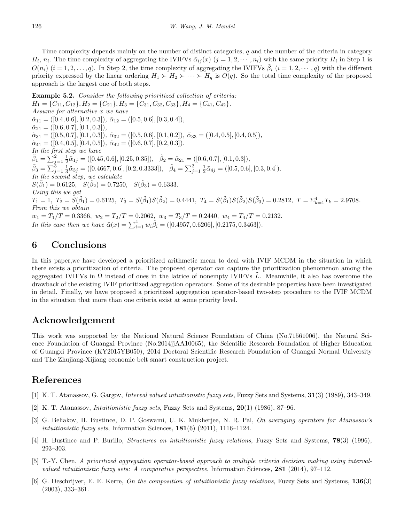Time complexity depends mainly on the number of distinct categories, *q* and the number of the criteria in category  $H_i$ ,  $n_i$ . The time complexity of aggregating the IVIFVs  $\tilde{\alpha}_{ij}(x)$   $(j = 1, 2, \dots, n_i)$  with the same priority  $H_i$  in Step 1 is  $O(n_i)$  (*i* = 1, 2, ..., *q*). In Step 2, the time complexity of aggregating the IVIFVs  $\tilde{\beta}_i$  (*i* = 1, 2, · · ·, *q*) with the different priority expressed by the linear ordering  $H_1 \succ H_2 \succ \cdots \succ H_q$  is  $O(q)$ . So the total time complexity of the proposed approach is the largest one of both steps.

**Example 5.2.** *Consider the following prioritized collection of criteria:*  $H_1 = \{C_{11}, C_{12}\}, H_2 = \{C_{21}\}, H_3 = \{C_{31}, C_{32}, C_{33}\}, H_4 = \{C_{41}, C_{42}\}.$ *Assume for alternative x we have*  $\tilde{\alpha}_{11} = ([0.4, 0.6], [0.2, 0.3]), \ \tilde{\alpha}_{12} = ([0.5, 0.6], [0.3, 0.4]),$  $\tilde{\alpha}_{21} = ([0.6, 0.7], [0.1, 0.3]),$  $\tilde{\alpha}_{31} = ([0.5, 0.7], [0.1, 0.3]), \ \tilde{\alpha}_{32} = ([0.5, 0.6], [0.1, 0.2]), \ \tilde{\alpha}_{33} = ([0.4, 0.5], [0.4, 0.5]),$  $\tilde{\alpha}_{41} = ([0.4, 0.5], [0.4, 0.5]), \ \tilde{\alpha}_{42} = ([0.6, 0.7], [0.2, 0.3]).$ *In the first step we have*  $\tilde{\beta}_1 = \sum_{j=1}^2 \frac{1}{2} \tilde{\alpha}_{1j} = ([0.45, 0.6], [0.25, 0.35]), \quad \tilde{\beta}_2 = \tilde{\alpha}_{21} = ([0.6, 0.7], [0.1, 0.3]),$  $\tilde{\beta}_3 = \sum_{j=1}^3 \frac{1}{3} \tilde{\alpha}_{3j} = ([0.4667, 0.6], [0.2, 0.3333]), \quad \tilde{\beta}_4 = \sum_{j=1}^2 \frac{1}{2} \tilde{\alpha}_{4j} = ([0.5, 0.6], [0.3, 0.4]).$ *In the second step, we calculate*  $S(\tilde{\beta}_1) = 0.6125, \quad S(\tilde{\beta}_2) = 0.7250, \quad S(\tilde{\beta}_3) = 0.6333.$ *Using this we get*  $T_1 = 1, T_2 = \tilde{S}(\tilde{\beta}_1) = 0.6125, T_3 = S(\tilde{\beta}_1)S(\tilde{\beta}_2) = 0.4441, T_4 = S(\tilde{\beta}_1)S(\tilde{\beta}_2)S(\tilde{\beta}_3) = 0.2812, T = \sum_{k=1}^{4} T_k = 2.9708.$ *From this we obtain*  $w_1 = T_1/T = 0.3366$ ,  $w_2 = T_2/T = 0.2062$ ,  $w_3 = T_3/T = 0.2440$ ,  $w_4 = T_4/T = 0.2132$ . *In this case then we have*  $\tilde{\alpha}(x) = \sum_{i=1}^{4} w_i \tilde{\beta}_i = ([0.4957, 0.6206], [0.2175, 0.3463]).$ 

### **6 Conclusions**

In this paper,we have developed a prioritized arithmetic mean to deal with IVIF MCDM in the situation in which there exists a prioritization of criteria. The proposed operator can capture the prioritization phenomenon among the aggregated IVIFVs in  $\Omega$  instead of ones in the lattice of nonempty IVIFVs L. Meanwhile, it also has overcome the drawback of the existing IVIF prioritized aggregation operators. Some of its desirable properties have been investigated in detail. Finally, we have proposed a prioritized aggregation operator-based two-step procedure to the IVIF MCDM in the situation that more than one criteria exist at some priority level.

### **Acknowledgement**

This work was supported by the National Natural Science Foundation of China (No.71561006), the Natural Science Foundation of Guangxi Province (No.2014jjAA10065), the Scientific Research Foundation of Higher Education of Guangxi Province (KY2015YB050), 2014 Doctoral Scientific Research Foundation of Guangxi Normal University and The Zhujiang-Xijiang economic belt smart construction project.

### **References**

- <span id="page-11-3"></span>[1] K. T. Atanassov, G. Gargov, *Interval valued intuitionistic fuzzy sets*, Fuzzy Sets and Systems, **31**(3) (1989), 343–349.
- <span id="page-11-0"></span>[2] K. T. Atanassov, *Intuitionistic fuzzy sets*, Fuzzy Sets and Systems, **20**(1) (1986), 87–96.
- <span id="page-11-5"></span>[3] G. Beliakov, H. Bustince, D. P. Goswami, U. K. Mukherjee, N. R. Pal, *On averaging operators for Atanassov's intuitionistic fuzzy sets*, Information Sciences, **181**(6) (2011), 1116–1124.
- <span id="page-11-1"></span>[4] H. Bustince and P. Burillo, *Structures on intuitionistic fuzzy relations*, Fuzzy Sets and Systems, **78**(3) (1996), 293–303.
- <span id="page-11-4"></span>[5] T.-Y. Chen, *A prioritized aggregation operator-based approach to multiple criteria decision making using intervalvalued intuitionistic fuzzy sets: A comparative perspective*, Information Sciences, **281** (2014), 97–112.
- <span id="page-11-2"></span>[6] G. Deschrijver, E. E. Kerre, *On the composition of intuitionistic fuzzy relations*, Fuzzy Sets and Systems, **136**(3) (2003), 333–361.